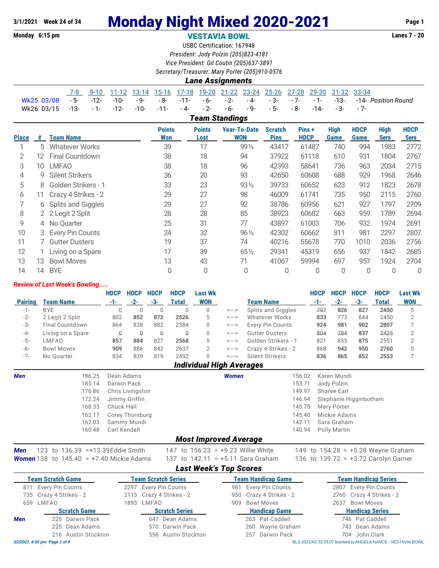### **Monday 6:15 pm VESTAVIA BOWL Lanes 7 - 20**

USBC Certification: 167948 *President: Jody Polzin (205)823-4181 Vice President: Gil Coutin (205)637-3891*

*Secretary/Treasurer: Mary Porter (205)910-0576*

#### *Lane Assignments* 7-8 9-10 11-12 13-14 15-16 17-18 19-20 21-22 23-24 25-26 27-28 29-30 31-32 33-34 Wk25 03/08 - 5- -12- -10- - 9- - 8- -11- - 6- - 2- - 4- - 3- - 7- - 1- -13- -14- *Position Round* Wk26 03/15 -13- - 1- -12- -10- -11- - 4- - 2- - 6- - 9- - 5- - 8- -14- - 3- - 7-

*Team Standings*

| <b>Place</b> | #   | <b>Team Name</b>        | <b>Points</b><br>Won | <b>Points</b><br>Lost | Year-To-Date<br><b>WON</b> | <b>Scratch</b><br><b>Pins</b> | Pins +<br><b>HDCP</b> | <b>High</b><br>Game | <b>HDCP</b><br>Game | <b>High</b><br><b>Sers</b> | <b>HDCP</b><br><b>Sers</b> |
|--------------|-----|-------------------------|----------------------|-----------------------|----------------------------|-------------------------------|-----------------------|---------------------|---------------------|----------------------------|----------------------------|
|              | 5.  | <b>Whatever Works</b>   | 39                   | 17                    | 99 1/2                     | 43417                         | 61487                 | 740                 | 994                 | 1983                       | 2772                       |
| 2            | 12  | Final Countdown         | 38                   | 18                    | 94                         | 37922                         | 61118                 | 610                 | 931                 | 1804                       | 2767                       |
| 3            | 10  | <b>LMFAO</b>            | 38                   | 18                    | 96                         | 42393                         | 58641                 | 736                 | 963                 | 2034                       | 2715                       |
| 4            | 9   | <b>Silent Strikers</b>  | 36                   | 20                    | 93                         | 42650                         | 60608                 | 688                 | 929                 | 1968                       | 2646                       |
| 5            | 8   | Golden Strikers - 1     | 33                   | 23                    | 93 1/2                     | 39733                         | 60652                 | 623                 | 912                 | 1823                       | 2678                       |
| 6            | 11. | Crazy 4 Strikes - 2     | 29                   | 27                    | 98                         | 46009                         | 61741                 | 735                 | 950                 | 2115                       | 2760                       |
|              |     | 6 Splits and Giggles    | 29                   | 27                    | 92                         | 38786                         | 60956                 | 621                 | 927                 | 1797                       | 2709                       |
| 8            |     | 2 2 Legit 2 Split       | 28                   | 28                    | 85                         | 38923                         | 60682                 | 663                 | 959                 | 1789                       | 2694                       |
| 9            |     | 4 No Ouarter            | 25                   | 31                    | 77                         | 43897                         | 61003                 | 706                 | 932                 | 1974                       | 2691                       |
| 10           | 3   | <b>Every Pin Counts</b> | 24                   | 32                    | $96\frac{1}{2}$            | 42302                         | 60662                 | 811                 | 981                 | 2297                       | 2807                       |
| 11           |     | <b>Gutter Dusters</b>   | 19                   | 37                    | 74                         | 40216                         | 55678                 | 770                 | 1010                | 2036                       | 2756                       |
| 12           |     | Living on a Spare       | 17                   | 39                    | 651/2                      | 29341                         | 45319                 | 656                 | 937                 | 1842                       | 2685                       |
| 13           | 13  | <b>Bowl Moves</b>       | 13                   | 43                    | 71                         | 41067                         | 59994                 | 697                 | 957                 | 1924                       | 2704                       |
| 14           | 14  | <b>BYE</b>              | 0                    | 0                     | 0                          | 0                             | 0                     | 0                   | 0                   | 0                          | 0                          |

#### *Review of Last Week's Bowling.....*

|                |                   | <b>HDCP</b> | <b>HDCP</b> | <b>HDCP</b> | <b>HDCP</b>  | Last Wk     |                            |                       | <b>HDCP</b> | <b>HDCP</b> | <b>HDCP</b> | <b>HDCP</b> | <b>Last Wk</b> |
|----------------|-------------------|-------------|-------------|-------------|--------------|-------------|----------------------------|-----------------------|-------------|-------------|-------------|-------------|----------------|
| <b>Pairing</b> | <b>Team Name</b>  | -1-         | $-2-$       | -3-         | <b>Total</b> | WON         |                            | <b>Team Name</b>      | -1-         |             | -3-         | Total       | <b>WON</b>     |
| $-1-$          | <b>BYE</b>        |             |             |             |              |             | <--->                      | Splits and Giggles    | 797         | 826         | 827         | 2450        |                |
| $-2-$          | 2 Legit 2 Split   | 802         | 852         | 872         | 2526         | $5^{\circ}$ | $\leftarrow$ $\rightarrow$ | Whatever Works        | 833         | 773         | 844         | 2450        |                |
| -3-            | Final Countdown   | 864         | 838         | 882         | 2584         |             | <--->                      | Every Pin Counts      | 924         | 981         | 902         | 2807        |                |
| $-4-$          | Living on a Spare |             | Ω           | Q           |              |             | <--->                      | <b>Gutter Dusters</b> | 804         | 784         | 837         | 2425        |                |
| $-5-$          | LMFAO             | 857         | 884         | 827         | 2568         | $5^{\circ}$ | <--->                      | Golden Strikers - 1   | 821         | 855         | 875         | 2551        |                |
| -6-            | <b>Bowl Moves</b> | 909         | 886         | 842         | 2637         |             | <--->                      | Crazy 4 Strikes - 2   | 868         | 942         | 950         | 2760        |                |
| $-7-$          | No Ouarter        | 834         | 839         | 819         | 2492         |             | <--->                      | Silent Strikers       | 836         | 865         | 852         | 2553        |                |

## *Individual High Averages*

| <b>Men</b> | 186.25 | Dean Adams            | Women | 156.02 | Karen Mundi            |
|------------|--------|-----------------------|-------|--------|------------------------|
|            | 185.14 | Darwin Pack           |       | 153.71 | Jody Polzin            |
|            | 176.86 | Chris Livingston      |       | 149.97 | Sharee Earl            |
|            | 172.24 | Jimmy Griffin         |       | 146.94 | Stephanie Higginbotham |
|            | 168.33 | Chuck Hall            |       |        | 145.75 Mary Porter     |
|            | 162.17 | Corey Thornburg       |       | 145.40 | Mickie Adams           |
|            | 162.03 | Sammy Mundi           |       | 142.11 | Sara Graham            |
|            | 160.48 | Carl Kendall          |       |        | 140.94 Polly Martin    |
|            |        | Most Improved Aversae |       |        |                        |

#### *Most Improved Average*

*Men* 123 to 136.39 =+13.39 Eddie Smith 147 to 156.23 = +9.23 Willie White 149 to 154.28 = +5.28 Wayne Graham *Women* 138 to 145.40 = +7.40 Mickie Adams 137 to 142.11 = +5.11 Sara Graham 136 to 139.72 = +3.72 Carolyn Garner

### *Last Week's Top Scores*

|     | <b>Team Scratch Game</b>     | <b>Team Scratch Series</b> | <b>Team Handicap Game</b> | <b>Team Handicap Series</b>                                   |
|-----|------------------------------|----------------------------|---------------------------|---------------------------------------------------------------|
| 811 | 1 Every Pin Counts           | 2297 Every Pin Counts      | 981 Every Pin Counts      | 2807 Every Pin Counts                                         |
|     | 735 Crazy 4 Strikes - 2      | 2115 Crazy 4 Strikes - 2   | 950 Crazy 4 Strikes - 2   | 2760 Crazy 4 Strikes - 2                                      |
| 659 | LMFAO                        | 1893 LMFAO                 | <b>Bowl Moves</b><br>909  | 2637 Bowl Moves                                               |
|     | <b>Scratch Game</b>          | <b>Scratch Series</b>      | <b>Handicap Game</b>      | <b>Handicap Series</b>                                        |
| Men | 225 Darwin Pack              | 647 Dean Adams             | 263 Pat Caddell           | 746 Pat Caddell                                               |
|     | 225 Dean Adams               | 570 Darwin Pack            | 260 Wayne Graham          | 743 Dean Adams                                                |
|     | 216 Austin Stockton          | 556 Austin Stockton        | 257 Darwin Pack           | 704 John Clark                                                |
|     | 3/2/2021 4:50 pm Page 1 of 4 |                            |                           | BLS-2021/AS 33.03.07 licensed to ANGELA NANCE - VESTAVIA BOWL |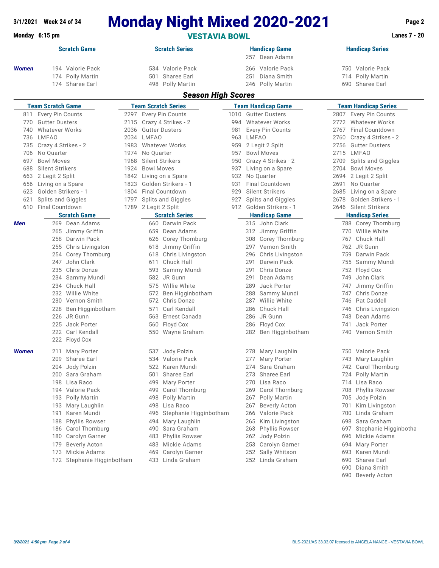|              | 3/1/2021 Week 24 of 34                                  |                                      |              |                                                            | <b>Monday Night Mixed 2020-2021</b>                 |                                                                                    |            |                                                    |                                                         | Page 2                                               |  |
|--------------|---------------------------------------------------------|--------------------------------------|--------------|------------------------------------------------------------|-----------------------------------------------------|------------------------------------------------------------------------------------|------------|----------------------------------------------------|---------------------------------------------------------|------------------------------------------------------|--|
|              | Monday 6:15 pm                                          |                                      |              |                                                            |                                                     | <b>Lanes 7 - 20</b>                                                                |            |                                                    |                                                         |                                                      |  |
|              |                                                         | <b>Scratch Game</b>                  |              |                                                            | <b>Scratch Series</b>                               |                                                                                    |            | <b>Handicap Game</b>                               |                                                         | <b>Handicap Series</b>                               |  |
| <b>Women</b> | 194 Valorie Pack<br>174 Polly Martin<br>174 Sharee Earl |                                      |              | 534 Valorie Pack<br>Sharee Earl<br>501<br>498 Polly Martin |                                                     | Dean Adams<br>257<br>266 Valorie Pack<br>Diana Smith<br>251<br>Polly Martin<br>246 |            |                                                    | 750 Valorie Pack<br>714 Polly Martin<br>690 Sharee Earl |                                                      |  |
|              |                                                         |                                      |              |                                                            | <b>Season High Scores</b>                           |                                                                                    |            |                                                    |                                                         |                                                      |  |
| 811          | <b>Team Scratch Game</b><br>Every Pin Counts            |                                      |              |                                                            | <b>Team Scratch Series</b><br>2297 Every Pin Counts | 1010                                                                               |            | <b>Team Handicap Game</b><br><b>Gutter Dusters</b> |                                                         | <b>Team Handicap Series</b><br>2807 Every Pin Counts |  |
| 770          | <b>Gutter Dusters</b>                                   |                                      | 2115         |                                                            | Crazy 4 Strikes - 2                                 | 994                                                                                |            | <b>Whatever Works</b>                              | 2772                                                    | <b>Whatever Works</b>                                |  |
| 740          | <b>Whatever Works</b>                                   |                                      | 2036         |                                                            | <b>Gutter Dusters</b>                               | 981                                                                                |            | Every Pin Counts                                   | 2767                                                    | <b>Final Countdown</b>                               |  |
| 736          | LMFAO                                                   |                                      |              | 2034 LMFAO                                                 |                                                     | 963                                                                                | LMFAO      |                                                    | 2760                                                    | Crazy 4 Strikes - 2                                  |  |
| 735          | Crazy 4 Strikes - 2                                     |                                      | 1983         |                                                            | <b>Whatever Works</b>                               | 959                                                                                |            | 2 Legit 2 Split                                    | 2756                                                    | <b>Gutter Dusters</b>                                |  |
| 706          | No Quarter                                              |                                      | 1974         | No Quarter                                                 |                                                     | 957                                                                                |            | <b>Bowl Moves</b>                                  |                                                         | 2715 LMFAO                                           |  |
| 697          | <b>Bowl Moves</b>                                       |                                      | 1968         |                                                            | Silent Strikers                                     | 950                                                                                |            | Crazy 4 Strikes - 2                                |                                                         | 2709 Splits and Giggles                              |  |
| 688          | Silent Strikers                                         |                                      | 1924         | <b>Bowl Moves</b>                                          |                                                     | 937                                                                                |            | Living on a Spare                                  | 2704                                                    | <b>Bowl Moves</b>                                    |  |
| 663          | 2 Legit 2 Split                                         |                                      | 1842         |                                                            | Living on a Spare                                   | 932                                                                                |            | No Quarter                                         | 2694                                                    | 2 Legit 2 Split                                      |  |
| 656          | Living on a Spare                                       |                                      | 1823         |                                                            | Golden Strikers - 1                                 | 931                                                                                |            | Final Countdown                                    | 2691                                                    | No Quarter                                           |  |
| 623          | Golden Strikers - 1                                     |                                      | 1804<br>1797 |                                                            | Final Countdown<br>Splits and Giggles               | 929                                                                                |            | Silent Strikers                                    | 2685                                                    | Living on a Spare<br>Golden Strikers - 1             |  |
| 621<br>610   | <b>Splits and Giggles</b><br>Final Countdown            |                                      |              | 1789 2 Legit 2 Split                                       |                                                     | 927<br>912                                                                         |            | Splits and Giggles<br>Golden Strikers - 1          | 2678                                                    | 2646 Silent Strikers                                 |  |
|              | <b>Scratch Game</b>                                     |                                      |              |                                                            | <b>Scratch Series</b>                               |                                                                                    |            | <b>Handicap Game</b>                               |                                                         | <b>Handicap Series</b>                               |  |
| Men          |                                                         | 269 Dean Adams                       |              |                                                            | 660 Darwin Pack                                     |                                                                                    |            | 315 John Clark                                     |                                                         | 788 Corey Thornburg                                  |  |
|              |                                                         | 265 Jimmy Griffin                    |              | 659                                                        | Dean Adams                                          |                                                                                    |            | 312 Jimmy Griffin                                  | 770                                                     | Willie White                                         |  |
|              |                                                         | 258 Darwin Pack                      |              |                                                            | 626 Corey Thornburg                                 |                                                                                    |            | 308 Corey Thornburg                                |                                                         | Chuck Hall<br>767                                    |  |
|              |                                                         | 255 Chris Livingston                 |              | 618                                                        | Jimmy Griffin                                       |                                                                                    |            | 297 Vernon Smith                                   |                                                         | 762 JR Gunn                                          |  |
|              |                                                         | 254 Corey Thornburg                  |              | 618                                                        | Chris Livingston                                    |                                                                                    | 296        | Chris Livingston                                   | 759                                                     | Darwin Pack                                          |  |
|              | 247                                                     | John Clark                           |              | 611                                                        | Chuck Hall                                          |                                                                                    | 291        | Darwin Pack                                        | 755                                                     | Sammy Mundi                                          |  |
|              |                                                         | 235 Chris Donze                      |              | 593                                                        | Sammy Mundi                                         |                                                                                    | 291        | Chris Donze                                        | 752                                                     | Floyd Cox                                            |  |
|              |                                                         | 234 Sammy Mundi                      |              |                                                            | 582 JR Gunn                                         |                                                                                    | 291        | Dean Adams                                         | 749                                                     | John Clark                                           |  |
|              |                                                         | 234 Chuck Hall                       |              | 575                                                        | Willie White                                        |                                                                                    | 289        | Jack Porter                                        | 747                                                     | Jimmy Griffin                                        |  |
|              |                                                         | 232 Willie White<br>230 Vernon Smith |              | 572<br>572                                                 | Ben Higginbotham<br>Chris Donze                     |                                                                                    | 288<br>287 | Sammy Mundi<br>Willie White                        | 747<br>746                                              | Chris Donze<br>Pat Caddell                           |  |
|              |                                                         | 228 Ben Higginbotham                 |              | 571                                                        | Carl Kendall                                        |                                                                                    | 286        | Chuck Hall                                         | 746                                                     | Chris Livingston                                     |  |
|              |                                                         | 226 JR Gunn                          |              | 563                                                        | Ernest Canada                                       |                                                                                    | 286        | JR Gunn                                            |                                                         | Dean Adams<br>743                                    |  |
|              | 225                                                     | Jack Porter                          |              | 560                                                        | Floyd Cox                                           |                                                                                    | 286        | Floyd Cox                                          | 741                                                     | Jack Porter                                          |  |
|              |                                                         | 222 Carl Kendall                     |              |                                                            | 550 Wayne Graham                                    |                                                                                    |            | 282 Ben Higginbotham                               |                                                         | 740 Vernon Smith                                     |  |
| <b>Women</b> | 211                                                     | 222 Floyd Cox<br>Mary Porter         |              |                                                            | 537 Jody Polzin                                     |                                                                                    | 278        | Mary Laughlin                                      |                                                         | 750 Valorie Pack                                     |  |
|              | 209                                                     | Sharee Earl                          |              |                                                            | 534 Valorie Pack                                    |                                                                                    | 277        | Mary Porter                                        | 743                                                     | Mary Laughlin                                        |  |
|              |                                                         | 204 Jody Polzin                      |              | 522                                                        | Karen Mundi                                         |                                                                                    | 274        | Sara Graham                                        |                                                         | Carol Thornburg<br>742                               |  |
|              |                                                         | 200 Sara Graham                      |              | 501                                                        | Sharee Earl                                         |                                                                                    | 273        | Sharee Earl                                        | 724                                                     | Polly Martin                                         |  |
|              |                                                         | 198 Lisa Raco                        |              | 499                                                        | Mary Porter                                         |                                                                                    | 270        | Lisa Raco                                          |                                                         | 714 Lisa Raco                                        |  |
|              |                                                         | 194 Valorie Pack                     |              | 499                                                        | Carol Thornburg                                     |                                                                                    | 269        | Carol Thornburg                                    | 708                                                     | <b>Phyllis Rowser</b>                                |  |
|              |                                                         | 193 Polly Martin                     |              |                                                            | 498 Polly Martin                                    |                                                                                    | 267        | Polly Martin                                       | 705                                                     | Jody Polzin                                          |  |
|              |                                                         | 193 Mary Laughlin<br>191 Karen Mundi |              | 498                                                        | Lisa Raco<br>Stephanie Higginbotham                 |                                                                                    | 267        | Beverly Acton                                      | 701                                                     | Kim Livingston<br>Linda Graham                       |  |
|              |                                                         | 188 Phyllis Rowser                   |              | 496<br>494                                                 | Mary Laughlin                                       |                                                                                    | 266<br>265 | Valorie Pack<br>Kim Livingston                     | 700<br>698                                              | Sara Graham                                          |  |
|              |                                                         | 186 Carol Thornburg                  |              | 490                                                        | Sara Graham                                         |                                                                                    | 263        | <b>Phyllis Rowser</b>                              | 697                                                     | Stephanie Higginbotha                                |  |
|              |                                                         | 180 Carolyn Garner                   |              | 483                                                        | <b>Phyllis Rowser</b>                               |                                                                                    | 262        | Jody Polzin                                        | 696                                                     | Mickie Adams                                         |  |
|              | 179                                                     | <b>Beverly Acton</b>                 |              | 483                                                        | Mickie Adams                                        |                                                                                    | 253        | Carolyn Garner                                     | 694                                                     | Mary Porter                                          |  |
|              |                                                         | 173 Mickie Adams                     |              | 469                                                        | Carolyn Garner                                      |                                                                                    | 252        | Sally Whitson                                      | 693                                                     | Karen Mundi                                          |  |
|              |                                                         | 172 Stephanie Higginbotham           |              |                                                            | 433 Linda Graham                                    |                                                                                    |            | 252 Linda Graham                                   |                                                         | 690<br>Sharee Earl<br>690 Diana Smith                |  |

Beverly Acton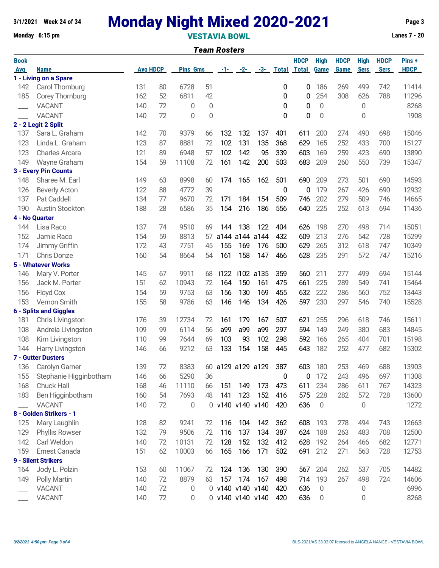# **3/1/2021 Week 24 of 34 Monday Night Mixed 2020-2021 Page 3**

**Monday 6:15 pm VESTAVIA BOWL Lanes 7 - 20**

|             | <b>Team Rosters</b>           |                 |    |                 |             |                   |      |                      |              |                    |             |             |             |             |             |
|-------------|-------------------------------|-----------------|----|-----------------|-------------|-------------------|------|----------------------|--------------|--------------------|-------------|-------------|-------------|-------------|-------------|
| <b>Book</b> |                               |                 |    |                 |             |                   |      |                      |              | <b>HDCP</b>        | <b>High</b> | <b>HDCP</b> | <b>High</b> | <b>HDCP</b> | Pins+       |
| Avg         | <b>Name</b>                   | <b>Avg HDCP</b> |    | <b>Pins Gms</b> |             |                   |      | $-1$ - $-2$ - $-3$ - |              | <b>Total Total</b> | <b>Game</b> | Game        | <b>Sers</b> | <b>Sers</b> | <b>HDCP</b> |
|             | 1 - Living on a Spare         |                 |    |                 |             |                   |      |                      |              |                    |             |             |             |             |             |
| 142         | Carol Thornburg               | 131             | 80 | 6728            | 51          |                   |      |                      | 0            | 0                  | 186         | 269         | 499         | 742         | 11414       |
| 185         | Corey Thornburg               | 162             | 52 | 6811            | 42          |                   |      |                      | 0            | 0                  | 254         | 308         | 626         | 788         | 11296       |
|             | <b>VACANT</b>                 | 140             | 72 | 0               | $\mathbf 0$ |                   |      |                      | $\mathbf{0}$ | 0                  | $\mathbf 0$ |             | 0           |             | 8268        |
|             | <b>VACANT</b>                 | 140             | 72 | 0               | $\mathbf 0$ |                   |      |                      | 0            | 0                  | $\mathbf 0$ |             | 0           |             | 1908        |
|             | 2 - 2 Legit 2 Split           |                 |    |                 |             |                   |      |                      |              |                    |             |             |             |             |             |
| 137         | Sara L. Graham                | 142             | 70 | 9379            | 66          | 132               | 132  | 137                  | 401          | 611                | 200         | 274         | 490         | 698         | 15046       |
| 123         | Linda L. Graham               | 123             | 87 | 8881            | 72          | 102               | 131  | 135                  | 368          | 629                | 165         | 252         | 433         | 700         | 15127       |
| 123         | Charles Arcara                | 121             | 89 | 6948            | 57          | 102               | 142  | 95                   | 339          | 603                | 169         | 259         | 423         | 690         | 13890       |
| 149         | Wayne Graham                  | 154             | 59 | 11108           | 72          | 161               | 142  | 200                  | 503          | 683                | 209         | 260         | 550         | 739         | 15347       |
|             | 3 - Every Pin Counts          |                 |    |                 |             |                   |      |                      |              |                    |             |             |             |             |             |
| 148         | Sharee M. Earl                | 149             | 63 | 8998            | 60          | 174               | 165  | 162                  | 501          | 690                | 209         | 273         | 501         | 690         | 14593       |
| 126         | <b>Beverly Acton</b>          | 122             | 88 | 4772            | 39          |                   |      |                      | 0            | 0                  | 179         | 267         | 426         | 690         | 12932       |
| 137         | Pat Caddell                   | 134             | 77 | 9670            | 72          | 171               | 184  | 154                  | 509          | 746                | 202         | 279         | 509         | 746         | 14665       |
| 190         | <b>Austin Stockton</b>        | 188             | 28 | 6586            | 35          | 154               | 216  | 186                  | 556          | 640                | 225         | 252         | 613         | 694         | 11436       |
|             | 4 - No Quarter                |                 |    |                 |             |                   |      |                      |              |                    |             |             |             |             |             |
| 144         | Lisa Raco                     | 137             | 74 | 9510            | 69          | 144               | 138  | 122                  | 404          | 626                | 198         | 270         | 498         | 714         | 15051       |
| 152         | Jamie Raco                    | 154             | 59 | 8813            | 57          | a144              | a144 | a144                 | 432          | 609                | 213         | 276         | 542         | 728         | 15299       |
| 174         | Jimmy Griffin                 | 172             | 43 | 7751            | 45          | 155               | 169  | 176                  | 500          | 629                | 265         | 312         | 618         | 747         | 10349       |
| 171         | Chris Donze                   | 160             | 54 | 8664            | 54          | 161               | 158  | 147                  | 466          | 628                | 235         | 291         | 572         | 747         | 15216       |
|             | <b>5 - Whatever Works</b>     |                 |    |                 |             |                   |      |                      |              |                    |             |             |             |             |             |
| 146         | Mary V. Porter                | 145             | 67 | 9911            | 68          | i122              |      | i102 a135            | 359          | 560                | 211         | 277         | 499         | 694         | 15144       |
| 156         | Jack M. Porter                | 151             | 62 | 10943           | 72          | 164               | 150  | 161                  | 475          | 661                | 225         | 289         | 549         | 741         | 15464       |
| 156         | Floyd Cox                     | 154             | 59 | 9753            | 63          | 156               | 130  | 169                  | 455          | 632                | 222         | 286         | 560         | 752         | 13443       |
| 153         | Vernon Smith                  | 155             | 58 | 9786            | 63          | 146               | 146  | 134                  | 426          | 597                | 230         | 297         | 546         | 740         | 15528       |
|             | <b>6 - Splits and Giggles</b> |                 |    |                 |             |                   |      |                      |              |                    |             |             |             |             |             |
| 181         | Chris Livingston              | 176             | 39 | 12734           | 72          | 161               | 179  | 167                  | 507          | 621                | 255         | 296         | 618         | 746         | 15611       |
| 108         | Andreia Livingston            | 109             | 99 | 6114            | 56          | a99               | a99  | a99                  | 297          | 594                | 149         | 249         | 380         | 683         | 14845       |
| 108         | Kim Livingston                | 110             | 99 | 7644            | 69          | 103               | 93   | 102                  | 298          | 592                | 166         | 265         | 404         | 701         | 15198       |
| 144         | Harry Livingston              | 146             | 66 | 9212            | 63          | 133               | 154  | 158                  | 445          | 643                | 182         | 252         | 477         | 682         | 15302       |
|             | <b>7 - Gutter Dusters</b>     |                 |    |                 |             |                   |      |                      |              |                    |             |             |             |             |             |
|             | 136 Carolyn Garner            | 139             | 72 | 8383            |             | 60 a129 a129 a129 |      |                      | 387          | 603                | 180         | 253         | 469         | 688         | 13903       |
| 155         | Stephanie Higginbotham        | 146             | 66 | 5290            | 36          |                   |      |                      | 0            | 0                  | 172         | 243         | 496         | 697         | 11308       |
| 168         | Chuck Hall                    | 168             | 46 | 11110           | 66          | 151               | 149  | 173                  | 473          | 611                | 234         | 286         | 611         | 767         | 14323       |
| 183         | Ben Higginbotham              | 160             | 54 | 7693            | 48          | 141               | 123  | 152                  | 416          | 575                | 228         | 282         | 572         | 728         | 13600       |
|             | <b>VACANT</b>                 | 140             | 72 | 0               |             | 0 v140 v140 v140  |      |                      | 420          | 636                | $\mathbf 0$ |             | 0           |             | 1272        |
|             | 8 - Golden Strikers - 1       |                 |    |                 |             |                   |      |                      |              |                    |             |             |             |             |             |
| 125         | Mary Laughlin                 | 128             | 82 | 9241            | 72          | 116               | 104  | 142                  | 362          | 608                | 193         | 278         | 494         | 743         | 12663       |
| 129         | Phyllis Rowser                | 132             | 79 | 9506            | 72          | 116               | 137  | 134                  | 387          | 624                | 188         | 263         | 483         | 708         | 12500       |
| 142         | Carl Weldon                   | 140             | 72 | 10131           | 72          | 128               | 152  | 132                  | 412          | 628                | 192         | 264         | 466         | 682         | 12771       |
| 159         | Ernest Canada                 | 151             | 62 | 10003           | 66          | 165               | 166  | 171                  | 502          | 691                | 212         | 271         | 563         | 728         | 12753       |
|             | 9 - Silent Strikers           |                 |    |                 |             |                   |      |                      |              |                    |             |             |             |             |             |
| 164         | Jody L. Polzin                | 153             | 60 | 11067           | 72          | 124               | 136  | 130                  | 390          | 567                | 204         | 262         | 537         | 705         | 14482       |
| 149         | Polly Martin                  | 140             | 72 | 8879            | 63          | 157               | 174  | 167                  | 498          | 714                | 193         | 267         | 498         | 724         | 14606       |
|             | <b>VACANT</b>                 | 140             | 72 | 0               |             | 0 v140 v140 v140  |      |                      | 420          | 636                | 0           |             | 0           |             | 6996        |
|             | <b>VACANT</b>                 | 140             | 72 | 0               |             |                   |      | 0 v140 v140 v140     | 420          | 636                | $\mathbf 0$ |             | 0           |             | 8268        |
|             |                               |                 |    |                 |             |                   |      |                      |              |                    |             |             |             |             |             |